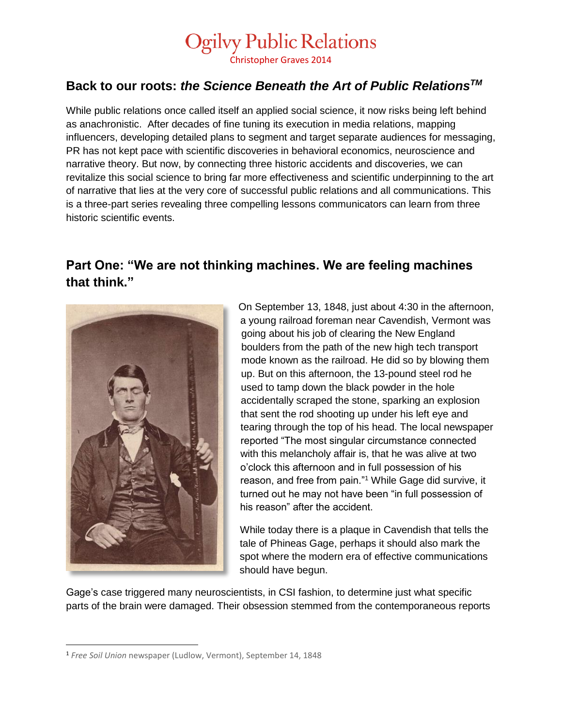Christopher Graves 2014

#### **Back to our roots:** *the Science Beneath the Art of Public RelationsTM*

While public relations once called itself an applied social science, it now risks being left behind as anachronistic. After decades of fine tuning its execution in media relations, mapping influencers, developing detailed plans to segment and target separate audiences for messaging, PR has not kept pace with scientific discoveries in behavioral economics, neuroscience and narrative theory. But now, by connecting three historic accidents and discoveries, we can revitalize this social science to bring far more effectiveness and scientific underpinning to the art of narrative that lies at the very core of successful public relations and all communications. This is a three-part series revealing three compelling lessons communicators can learn from three historic scientific events.

#### **Part One: "We are not thinking machines. We are feeling machines that think."**



 $\overline{\phantom{a}}$ 

On September 13, 1848, just about 4:30 in the afternoon, a young railroad foreman near Cavendish, Vermont was going about his job of clearing the New England boulders from the path of the new high tech transport mode known as the railroad. He did so by blowing them up. But on this afternoon, the 13-pound steel rod he used to tamp down the black powder in the hole accidentally scraped the stone, sparking an explosion that sent the rod shooting up under his left eye and tearing through the top of his head. The local newspaper reported "The most singular circumstance connected with this melancholy affair is, that he was alive at two o'clock this afternoon and in full possession of his reason, and free from pain."<sup>1</sup> While Gage did survive, it turned out he may not have been "in full possession of his reason" after the accident.

While today there is a plaque in Cavendish that tells the tale of Phineas Gage, perhaps it should also mark the spot where the modern era of effective communications should have begun.

Gage's case triggered many neuroscientists, in CSI fashion, to determine just what specific parts of the brain were damaged. Their obsession stemmed from the contemporaneous reports

<sup>1</sup> *Free Soil Union* newspaper (Ludlow, Vermont), September 14, 1848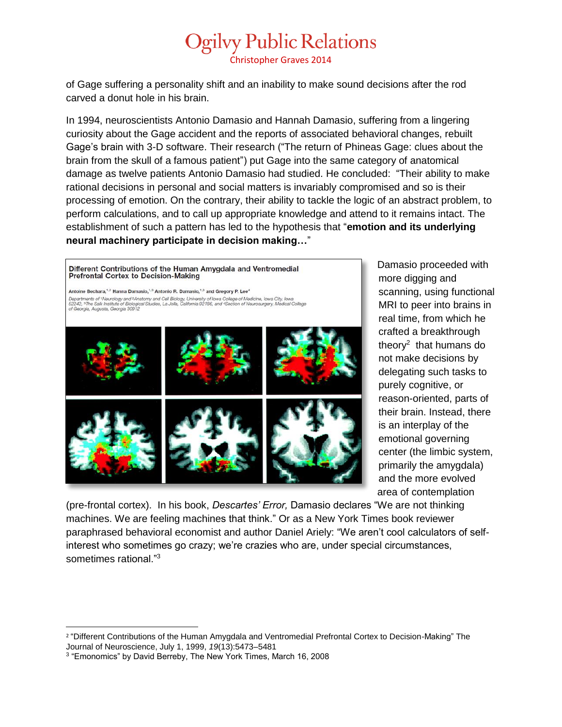Christopher Graves 2014

of Gage suffering a personality shift and an inability to make sound decisions after the rod carved a donut hole in his brain.

In 1994, neuroscientists Antonio Damasio and Hannah Damasio, suffering from a lingering curiosity about the Gage accident and the reports of associated behavioral changes, rebuilt Gage's brain with 3-D software. Their research ("The return of Phineas Gage: clues about the brain from the skull of a famous patient") put Gage into the same category of anatomical damage as twelve patients Antonio Damasio had studied. He concluded: "Their ability to make rational decisions in personal and social matters is invariably compromised and so is their processing of emotion. On the contrary, their ability to tackle the logic of an abstract problem, to perform calculations, and to call up appropriate knowledge and attend to it remains intact. The establishment of such a pattern has led to the hypothesis that "**emotion and its underlying neural machinery participate in decision making…**"

Different Contributions of the Human Amygdala and Ventromedial **Prefrontal Cortex to Decision-Making** Antoine Bechara,<sup>1,2</sup> Hanna Damasio,<sup>1,3</sup> Antonio R. Damasio,<sup>1,3</sup> and Gregory P. Lee<sup>4</sup> Departments of 1 Neurology and <sup>2</sup> Anatomy and Cell Biology, University of Iowa College of Medicine, Iowa City, Iowa<br>52242, <sup>3</sup> The Salk Institute of Biological Studies, La Jolla, California 92186, and <sup>4</sup>Section of Neuros

Damasio proceeded with more digging and scanning, using functional MRI to peer into brains in real time, from which he crafted a breakthrough theory<sup>2</sup> that humans do not make decisions by delegating such tasks to purely cognitive, or reason-oriented, parts of their brain. Instead, there is an interplay of the emotional governing center (the limbic system, primarily the amygdala) and the more evolved area of contemplation

(pre-frontal cortex). In his book, *Descartes' Error,* Damasio declares "We are not thinking machines. We are feeling machines that think." Or as a New York Times book reviewer paraphrased behavioral economist and author Daniel Ariely: "We aren't cool calculators of selfinterest who sometimes go crazy; we're crazies who are, under special circumstances, sometimes rational."<sup>3</sup>

 $\overline{\phantom{a}}$ 2 "Different Contributions of the Human Amygdala and Ventromedial Prefrontal Cortex to Decision-Making" The Journal of Neuroscience, July 1, 1999, *19*(13):5473–5481

<sup>3</sup> "Emonomics" by David Berreby, The New York Times, March 16, 2008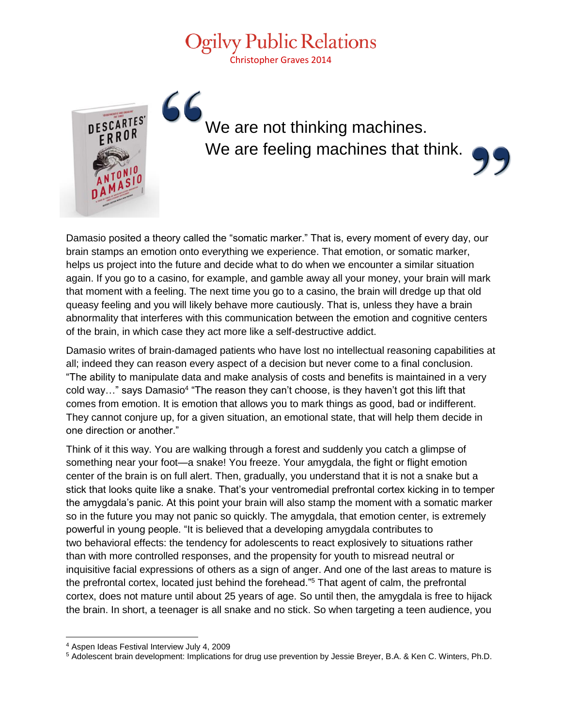Christopher Graves 2014



### We are not thinking machines. We are feeling machines that think.



Damasio posited a theory called the "somatic marker." That is, every moment of every day, our brain stamps an emotion onto everything we experience. That emotion, or somatic marker, helps us project into the future and decide what to do when we encounter a similar situation again. If you go to a casino, for example, and gamble away all your money, your brain will mark that moment with a feeling. The next time you go to a casino, the brain will dredge up that old queasy feeling and you will likely behave more cautiously. That is, unless they have a brain abnormality that interferes with this communication between the emotion and cognitive centers of the brain, in which case they act more like a self-destructive addict.

Damasio writes of brain-damaged patients who have lost no intellectual reasoning capabilities at all; indeed they can reason every aspect of a decision but never come to a final conclusion. "The ability to manipulate data and make analysis of costs and benefits is maintained in a very cold way..." says Damasio<sup>4</sup> "The reason they can't choose, is they haven't got this lift that comes from emotion. It is emotion that allows you to mark things as good, bad or indifferent. They cannot conjure up, for a given situation, an emotional state, that will help them decide in one direction or another."

Think of it this way. You are walking through a forest and suddenly you catch a glimpse of something near your foot—a snake! You freeze. Your amygdala, the fight or flight emotion center of the brain is on full alert. Then, gradually, you understand that it is not a snake but a stick that looks quite like a snake. That's your ventromedial prefrontal cortex kicking in to temper the amygdala's panic. At this point your brain will also stamp the moment with a somatic marker so in the future you may not panic so quickly. The amygdala, that emotion center, is extremely powerful in young people. "It is believed that a developing amygdala contributes to two behavioral effects: the tendency for adolescents to react explosively to situations rather than with more controlled responses, and the propensity for youth to misread neutral or inquisitive facial expressions of others as a sign of anger. And one of the last areas to mature is the prefrontal cortex, located just behind the forehead."<sup>5</sup> That agent of calm, the prefrontal cortex, does not mature until about 25 years of age. So until then, the amygdala is free to hijack the brain. In short, a teenager is all snake and no stick. So when targeting a teen audience, you

 $\overline{a}$ 

<sup>4</sup> Aspen Ideas Festival Interview July 4, 2009

<sup>5</sup> Adolescent brain development: Implications for drug use prevention by Jessie Breyer, B.A. & Ken C. Winters, Ph.D.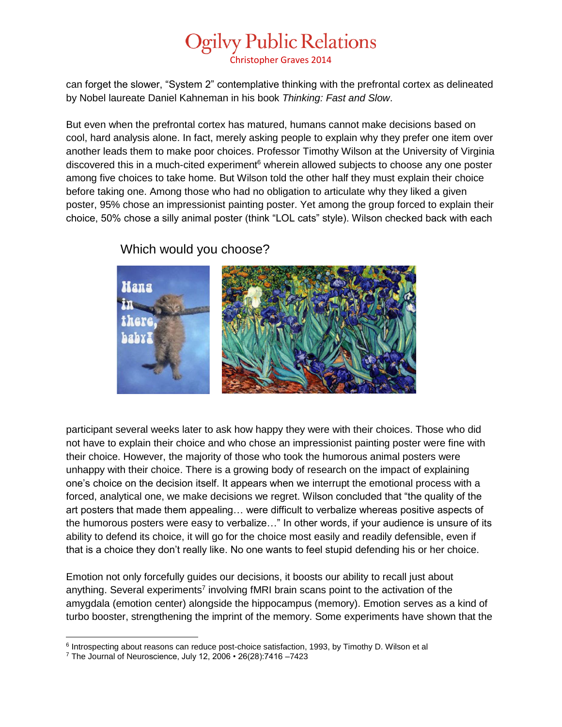Christopher Graves 2014

can forget the slower, "System 2" contemplative thinking with the prefrontal cortex as delineated by Nobel laureate Daniel Kahneman in his book *Thinking: Fast and Slow*.

But even when the prefrontal cortex has matured, humans cannot make decisions based on cool, hard analysis alone. In fact, merely asking people to explain why they prefer one item over another leads them to make poor choices. Professor Timothy Wilson at the University of Virginia discovered this in a much-cited experiment<sup>6</sup> wherein allowed subjects to choose any one poster among five choices to take home. But Wilson told the other half they must explain their choice before taking one. Among those who had no obligation to articulate why they liked a given poster, 95% chose an impressionist painting poster. Yet among the group forced to explain their choice, 50% chose a silly animal poster (think "LOL cats" style). Wilson checked back with each



#### Which would you choose?

participant several weeks later to ask how happy they were with their choices. Those who did not have to explain their choice and who chose an impressionist painting poster were fine with their choice. However, the majority of those who took the humorous animal posters were unhappy with their choice. There is a growing body of research on the impact of explaining one's choice on the decision itself. It appears when we interrupt the emotional process with a forced, analytical one, we make decisions we regret. Wilson concluded that "the quality of the art posters that made them appealing… were difficult to verbalize whereas positive aspects of the humorous posters were easy to verbalize…" In other words, if your audience is unsure of its ability to defend its choice, it will go for the choice most easily and readily defensible, even if that is a choice they don't really like. No one wants to feel stupid defending his or her choice.

Emotion not only forcefully guides our decisions, it boosts our ability to recall just about anything. Several experiments<sup>7</sup> involving fMRI brain scans point to the activation of the amygdala (emotion center) alongside the hippocampus (memory). Emotion serves as a kind of turbo booster, strengthening the imprint of the memory. Some experiments have shown that the

 $\overline{a}$ 

<sup>&</sup>lt;sup>6</sup> Introspecting about reasons can reduce post-choice satisfaction, 1993, by Timothy D. Wilson et al

<sup>7</sup> The Journal of Neuroscience, July 12, 2006 • 26(28):7416 –7423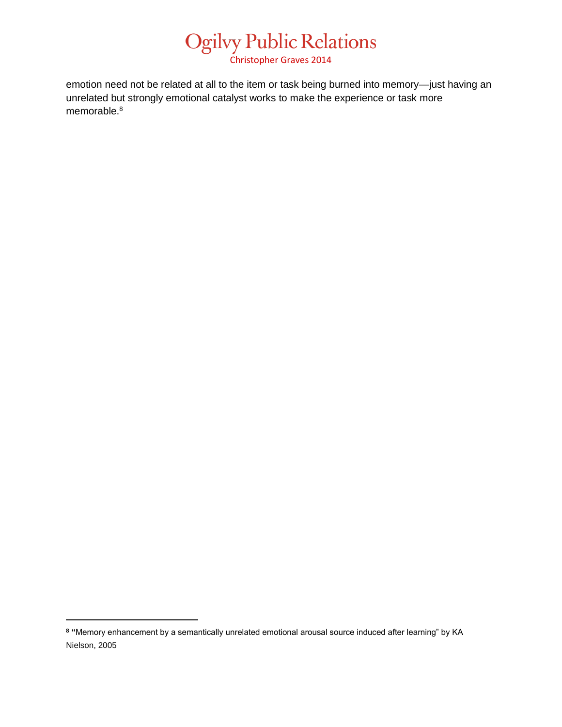Christopher Graves 2014

emotion need not be related at all to the item or task being burned into memory—just having an unrelated but strongly emotional catalyst works to make the experience or task more memorable.<sup>8</sup>

 $\overline{\phantom{a}}$ 

**<sup>8</sup> "**Memory enhancement by a semantically unrelated emotional arousal source induced after learning" by KA Nielson, 2005